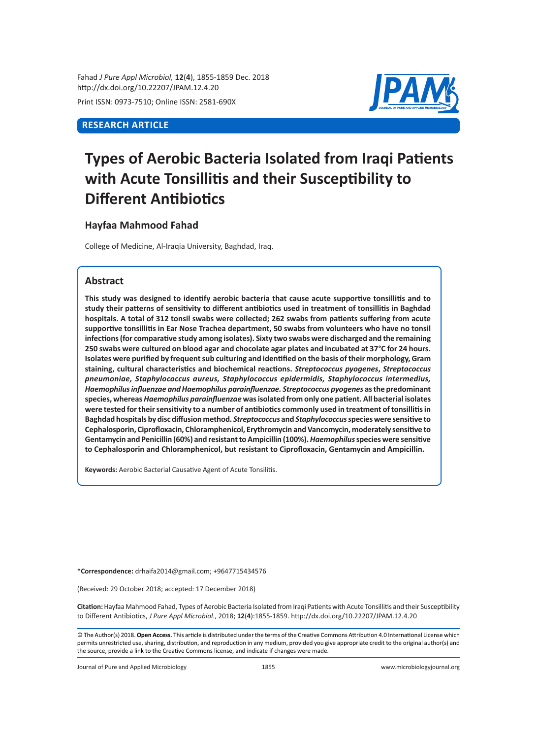Fahad *J Pure Appl Microbiol,* **12**(**4**), 1855-1859 Dec. 2018 http://dx.doi.org/10.22207/JPAM.12.4.20 Print ISSN: 0973-7510; Online ISSN: 2581-690X

## **RESEARCH ARTICLE**



# **Types of Aerobic Bacteria Isolated from Iraqi Patients with Acute Tonsillitis and their Susceptibility to Different Antibiotics**

## **Hayfaa Mahmood Fahad**

College of Medicine, Al-Iraqia University, Baghdad, Iraq.

## **Abstract**

**This study was designed to identify aerobic bacteria that cause acute supportive tonsillitis and to study their patterns of sensitivity to different antibiotics used in treatment of tonsillitis in Baghdad hospitals. A total of 312 tonsil swabs were collected; 262 swabs from patients suffering from acute supportive tonsillitis in Ear Nose Trachea department, 50 swabs from volunteers who have no tonsil infections (for comparative study among isolates). Sixty two swabs were discharged and the remaining 250 swabs were cultured on blood agar and chocolate agar plates and incubated at 37°C for 24 hours. Isolates were purified by frequent sub culturing and identified on the basis of their morphology, Gram staining, cultural characteristics and biochemical reactions.** *Streptococcus pyogenes***,** *Streptococcus pneumoniae, Staphylococcus aureus, Staphylococcus epidermidis, Staphylococcus intermedius, Haemophilus influenzae and Haemophilus parainfluenzae. Streptococcus pyogenes* **as the predominant species, whereas** *Haemophilus parainfluenzae* **was isolated from only one patient. All bacterial isolates were tested for their sensitivity to a number of antibiotics commonly used in treatment of tonsillitis in Baghdad hospitals by disc diffusion method.** *Streptococcus* **and** *Staphylococcus s***pecies were sensitive to Cephalosporin, Ciprofloxacin, Chloramphenicol, Erythromycin and Vancomycin, moderately sensitive to Gentamycin and Penicillin (60%) and resistant to Ampicillin (100%).** *Haemophilus* **species were sensitive to Cephalosporin and Chloramphenicol, but resistant to Ciprofloxacin, Gentamycin and Ampicillin.**

**Keywords:** Aerobic Bacterial Causative Agent of Acute Tonsilitis.

**\*Correspondence:** drhaifa2014@gmail.com; +9647715434576

(Received: 29 October 2018; accepted: 17 December 2018)

**Citation:** Hayfaa Mahmood Fahad, Types of Aerobic Bacteria Isolated from Iraqi Patients with Acute Tonsillitis and their Susceptibility to Different Antibiotics, *J Pure Appl Microbiol*., 2018; **12**(**4**):1855-1859. http://dx.doi.org/10.22207/JPAM.12.4.20

© The Author(s) 2018. **Open Access**. This article is distributed under the terms of the Creative Commons Attribution 4.0 International License which permits unrestricted use, sharing, distribution, and reproduction in any medium, provided you give appropriate credit to the original author(s) and the source, provide a link to the Creative Commons license, and indicate if changes were made.

Journal of Pure and Applied Microbiology 1855 www.microbiologyjournal.org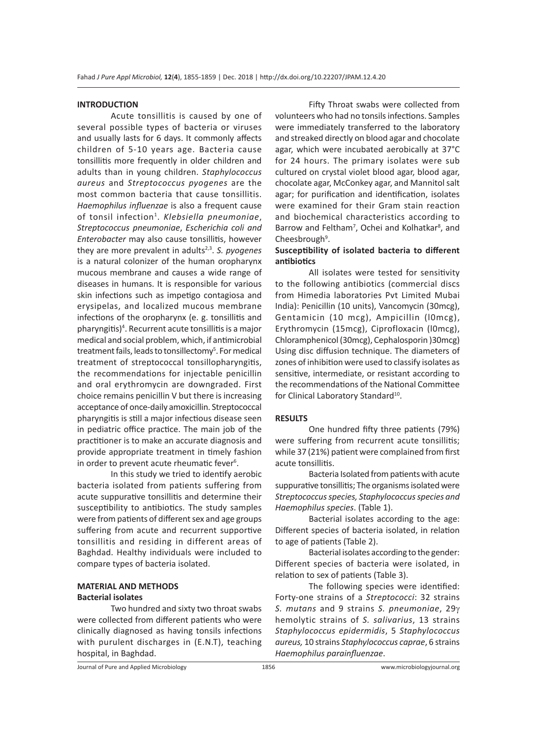#### **INTRODUCTION**

Acute tonsillitis is caused by one of several possible types of bacteria or viruses and usually lasts for 6 days. It commonly affects children of 5-10 years age. Bacteria cause tonsillitis more frequently in older children and adults than in young children. *Staphylococcus aureus* and *Streptococcus pyogenes* are the most common bacteria that cause tonsillitis. *Haemophilus influenzae* is also a frequent cause of tonsil infection<sup>1</sup> . *Klebsiella pneumoniae*, *Streptococcus pneumoniae*, *Escherichia coli and Enterobacter* may also cause tonsillitis, however they are more prevalent in adults<sup>2,3</sup>. S. pyogenes is a natural colonizer of the human oropharynx mucous membrane and causes a wide range of diseases in humans. It is responsible for various skin infections such as impetigo contagiosa and erysipelas, and localized mucous membrane infections of the oropharynx (e. g. tonsillitis and pharyngitis)<sup>4</sup> . Recurrent acute tonsillitis is a major medical and social problem, which, if antimicrobial treatment fails, leads to tonsillectomy<sup>5</sup>. For medical treatment of streptococcal tonsillopharyngitis, the recommendations for injectable penicillin and oral erythromycin are downgraded. First choice remains penicillin V but there is increasing acceptance of once-daily amoxicillin. Streptococcal pharyngitis is still a major infectious disease seen in pediatric office practice. The main job of the practitioner is to make an accurate diagnosis and provide appropriate treatment in timely fashion in order to prevent acute rheumatic fever<sup>6</sup>.

In this study we tried to identify aerobic bacteria isolated from patients suffering from acute suppurative tonsillitis and determine their susceptibility to antibiotics. The study samples were from patients of different sex and age groups suffering from acute and recurrent supportive tonsillitis and residing in different areas of Baghdad. Healthy individuals were included to compare types of bacteria isolated.

## **MATERIAL AND METHODS Bacterial isolates**

Two hundred and sixty two throat swabs were collected from different patients who were clinically diagnosed as having tonsils infections with purulent discharges in (E.N.T), teaching hospital, in Baghdad.

Fifty Throat swabs were collected from volunteers who had no tonsils infections. Samples were immediately transferred to the laboratory and streaked directly on blood agar and chocolate agar, which were incubated aerobically at 37°C for 24 hours. The primary isolates were sub cultured on crystal violet blood agar, blood agar, chocolate agar, McConkey agar, and Mannitol salt agar; for purification and identification, isolates were examined for their Gram stain reaction and biochemical characteristics according to Barrow and Feltham<sup>7</sup>, Ochei and Kolhatkar<sup>8</sup>, and Cheesbrough<sup>9</sup>.

## **Susceptibility of isolated bacteria to different antibiotics**

All isolates were tested for sensitivity to the following antibiotics (commercial discs from Himedia laboratories Pvt Limited Mubai India): Penicillin (10 units), Vancomycin (30mcg), Gentamicin (10 mcg), Ampicillin (l0mcg), Erythromycin (15mcg), Ciprofloxacin (l0mcg), Chloramphenicol (30mcg), Cephalosporin )30mcg) Using disc diffusion technique. The diameters of zones of inhibition were used to classify isolates as sensitive, intermediate, or resistant according to the recommendations of the National Committee for Clinical Laboratory Standard<sup>10</sup>.

#### **RESULTS**

One hundred fifty three patients (79%) were suffering from recurrent acute tonsillitis; while 37 (21%) patient were complained from first acute tonsillitis.

Bacteria Isolated from patients with acute suppurative tonsillitis; The organisms isolated were *Streptococcus species, Staphylococcus species and Haemophilus species*. (Table 1).

Bacterial isolates according to the age: Different species of bacteria isolated, in relation to age of patients (Table 2).

Bacterial isolates according to the gender: Different species of bacteria were isolated, in relation to sex of patients (Table 3).

The following species were identified: Forty-one strains of a *Streptococci*: 32 strains *S. mutans* and 9 strains *S. pneumoniae*, 29γ hemolytic strains of *S. salivarius*, 13 strains *Staphylococcus epidermidis*, 5 *Staphylococcus aureus,* 10 strains *Staphylococcus caprae*, 6 strains *Haemophilus parainfluenzae*.

Journal of Pure and Applied Microbiology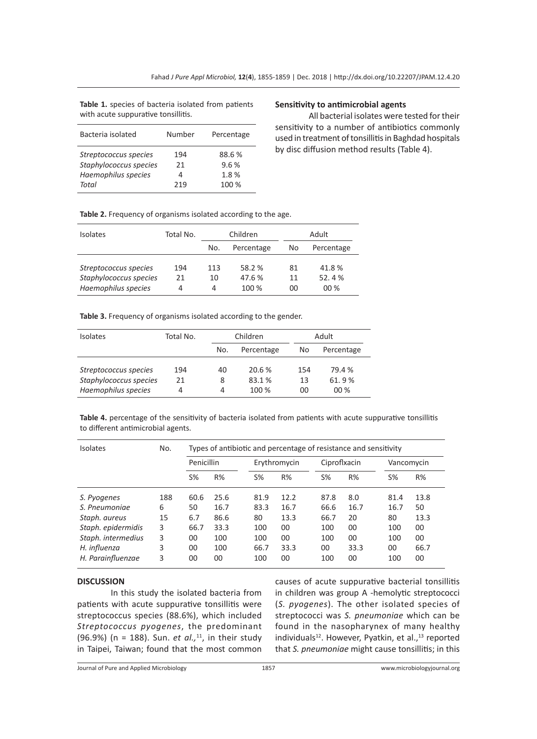**Table 1.** species of bacteria isolated from patients with acute suppurative tonsillitis.

| Bacteria isolated      | Number | Percentage |
|------------------------|--------|------------|
| Streptococcus species  | 194    | 88.6%      |
| Staphylococcus species | 21     | 9.6%       |
| Haemophilus species    | 4      | 1.8%       |
| <b>Total</b>           | 219    | 100 %      |

#### **Sensitivity to antimicrobial agents**

All bacterial isolates were tested for their sensitivity to a number of antibiotics commonly used in treatment of tonsillitis in Baghdad hospitals by disc diffusion method results (Table 4).

|  |  | Table 2. Frequency of organisms isolated according to the age. |
|--|--|----------------------------------------------------------------|
|--|--|----------------------------------------------------------------|

| <b>Isolates</b>                                                        | Total No.      | Children       |                         |                | Adult                    |  |
|------------------------------------------------------------------------|----------------|----------------|-------------------------|----------------|--------------------------|--|
|                                                                        |                | No.            | Percentage              | No             | Percentage               |  |
| Streptococcus species<br>Staphylococcus species<br>Haemophilus species | 194<br>21<br>4 | 113<br>10<br>4 | 58.2%<br>47.6%<br>100 % | 81<br>11<br>00 | 41.8%<br>52.4%<br>$00\%$ |  |

**Table 3.** Frequency of organisms isolated according to the gender.

| <b>Isolates</b>        | Total No. |     | Children   |     | Adult      |  |
|------------------------|-----------|-----|------------|-----|------------|--|
|                        |           | No. | Percentage | No  | Percentage |  |
| Streptococcus species  | 194       | 40  | 20.6%      | 154 | 79.4%      |  |
| Staphylococcus species | 21        | 8   | 83.1 %     | 13  | 61.9%      |  |
| Haemophilus species    | 4         | 4   | 100 %      | 00  | $00\%$     |  |

**Table 4.** percentage of the sensitivity of bacteria isolated from patients with acute suppurative tonsillitis to different antimicrobial agents.

| <b>Isolates</b>    | No. |            | Types of antibiotic and percentage of resistance and sensitivity |              |        |              |      |            |      |  |
|--------------------|-----|------------|------------------------------------------------------------------|--------------|--------|--------------|------|------------|------|--|
|                    |     | Penicillin |                                                                  | Erythromycin |        | Ciproflxacin |      | Vancomycin |      |  |
|                    |     | S%         | R%                                                               | $S\%$        | R%     | $S\%$        | R%   | $S\%$      | R%   |  |
| S. Pyogenes        | 188 | 60.6       | 25.6                                                             | 81.9         | 12.2   | 87.8         | 8.0  | 81.4       | 13.8 |  |
| S. Pneumoniae      | 6   | 50         | 16.7                                                             | 83.3         | 16.7   | 66.6         | 16.7 | 16.7       | 50   |  |
| Staph. aureus      | 15  | 6.7        | 86.6                                                             | 80           | 13.3   | 66.7         | 20   | 80         | 13.3 |  |
| Staph. epidermidis | 3   | 66.7       | 33.3                                                             | 100          | $00\,$ | 100          | 00   | 100        | 00   |  |
| Staph. intermedius | 3   | 00         | 100                                                              | 100          | $00\,$ | 100          | 00   | 100        | 00   |  |
| H. influenza       | 3   | 00         | 100                                                              | 66.7         | 33.3   | 00           | 33.3 | 00         | 66.7 |  |
| H. Parainfluenzae  | 3   | 00         | 00                                                               | 100          | 00     | 100          | 00   | 100        | 00   |  |

#### **DISCUSSION**

In this study the isolated bacteria from patients with acute suppurative tonsillitis were streptococcus species (88.6%), which included *Streptococcus pyogenes*, the predominant (96.9%) (n = 188). Sun. *et al.*,<sup>11</sup>, in their study in Taipei, Taiwan; found that the most common causes of acute suppurative bacterial tonsillitis in children was group A -hemolytic streptococci (*S. pyogenes*). The other isolated species of streptococci was *S. pneumoniae* which can be found in the nasopharynex of many healthy individuals<sup>12</sup>. However, Pyatkin, et al.,<sup>13</sup> reported that *S. pneumoniae* might cause tonsillitis; in this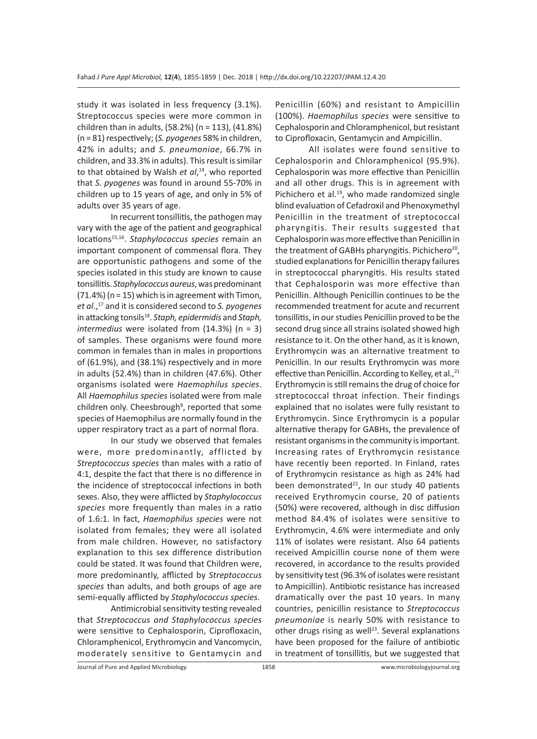study it was isolated in less frequency (3.1%). Streptococcus species were more common in children than in adults, (58.2%) (n = 113), (41.8%) (n = 81) respectively; (*S. pyogenes* 58% in children, 42% in adults; and *S. pneumoniae*, 66.7% in children, and 33.3% in adults). This result is similar to that obtained by Walsh *et al*, <sup>14</sup>, who reported that *S. pyogenes* was found in around 55-70% in children up to 15 years of age, and only in 5% of adults over 35 years of age.

In recurrent tonsillitis, the pathogen may vary with the age of the patient and geographical locations<sup>15,16</sup>. *Staphylococcus species* remain an important component of commensal flora. They are opportunistic pathogens and some of the species isolated in this study are known to cause tonsillitis. *Staphylococcus aureus*, was predominant (71.4%) (n = 15) which is in agreement with Timon, *et al*.,17 and it is considered second to *S. pyogenes* in attacking tonsils18. *Staph, epidermidis* and *Staph, intermedius* were isolated from (14.3%) (n = 3) of samples. These organisms were found more common in females than in males in proportions of (61.9%), and (38.1%) respectively and in more in adults (52.4%) than in children (47.6%). Other organisms isolated were *Haemophilus species*. All *Haemophilus species* isolated were from male children only. Cheesbrough<sup>9</sup>, reported that some species of Haemophilus are normally found in the upper respiratory tract as a part of normal flora.

In our study we observed that females were, more predominantly, afflicted by *Streptococcus species* than males with a ratio of 4:1, despite the fact that there is no difference in the incidence of streptococcal infections in both sexes. Also, they were afflicted by *Staphylococcus species* more frequently than males in a ratio of 1.6:1. In fact, *Haemophilus species* were not isolated from females; they were all isolated from male children. However, no satisfactory explanation to this sex difference distribution could be stated. It was found that Children were, more predominantly, afflicted by *Streptococcus species* than adults, and both groups of age are semi-equally afflicted by *Staphylococcus species.*

Antimicrobial sensitivity testing revealed that *Streptococcus and Staphylococcus species* were sensitive to Cephalosporin, Ciprofloxacin, Chloramphenicol, Erythromycin and Vancomycin, moderately sensitive to Gentamycin and Penicillin (60%) and resistant to Ampicillin (100%). *Haemophilus species* were sensitive to Cephalosporin and Chloramphenicol, but resistant to Ciprofloxacin, Gentamycin and Ampicillin.

All isolates were found sensitive to Cephalosporin and Chloramphenicol (95.9%). Cephalosporin was more effective than Penicillin and all other drugs. This is in agreement with Pichichero et al.<sup>19</sup>, who made randomized single blind evaluation of Cefadroxil and Phenoxymethyl Penicillin in the treatment of streptococcal pharyngitis. Their results suggested that Cephalosporin was more effective than Penicillin in the treatment of GABHs pharyngitis. Pichichero<sup>20</sup>, studied explanations for Penicillin therapy failures in streptococcal pharyngitis. His results stated that Cephalosporin was more effective than Penicillin. Although Penicillin continues to be the recommended treatment for acute and recurrent tonsillitis, in our studies Penicillin proved to be the second drug since all strains isolated showed high resistance to it. On the other hand, as it is known, Erythromycin was an alternative treatment to Penicillin. In our results Erythromycin was more effective than Penicillin. According to Kelley, et al.,<sup>21</sup> Erythromycin is still remains the drug of choice for streptococcal throat infection. Their findings explained that no isolates were fully resistant to Erythromycin. Since Erythromycin is a popular alternative therapy for GABHs, the prevalence of resistant organisms in the community is important. Increasing rates of Erythromycin resistance have recently been reported. In Finland, rates of Erythromycin resistance as high as 24% had been demonstrated<sup>22</sup>, In our study 40 patients received Erythromycin course, 20 of patients (50%) were recovered, although in disc diffusion method 84.4% of isolates were sensitive to Erythromycin, 4.6% were intermediate and only 11% of isolates were resistant. Also 64 patients received Ampicillin course none of them were recovered, in accordance to the results provided by sensitivity test (96.3% of isolates were resistant to Ampicillin). Antibiotic resistance has increased dramatically over the past 10 years. In many countries, penicillin resistance to *Streptococcus pneumoniae* is nearly 50% with resistance to other drugs rising as well<sup>23</sup>. Several explanations have been proposed for the failure of antibiotic in treatment of tonsillitis, but we suggested that

Journal of Pure and Applied Microbiology